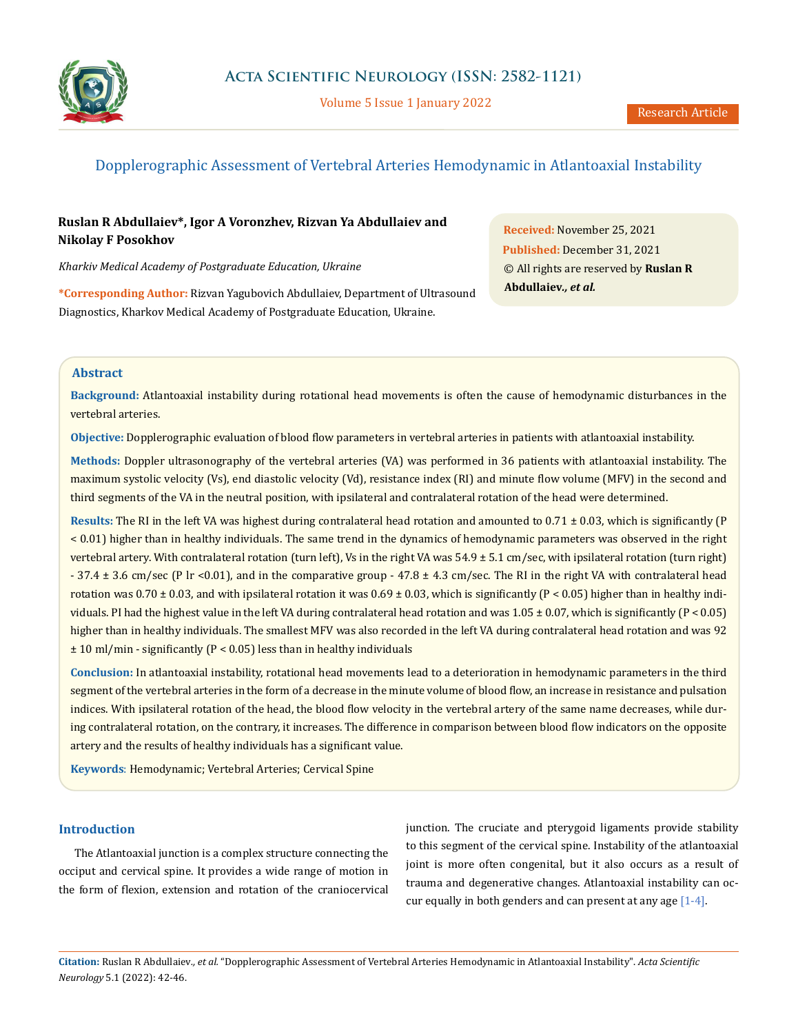

Volume 5 Issue 1 January 2022

# Dopplerographic Assessment of Vertebral Arteries Hemodynamic in Atlantoaxial Instability

## **Ruslan R Abdullaiev\*, Igor A Voronzhev, Rizvan Ya Abdullaiev and Nikolay F Posokhov**

*Kharkiv Medical Academy of Postgraduate Education, Ukraine* 

**\*Corresponding Author:** Rizvan Yagubovich Abdullaiev, Department of Ultrasound Diagnostics, Kharkov Medical Academy of Postgraduate Education, Ukraine.

**Received:** November 25, 2021 **Published:** December 31, 2021 © All rights are reserved by **Ruslan R Abdullaiev***., et al.*

### **Abstract**

**Background:** Atlantoaxial instability during rotational head movements is often the cause of hemodynamic disturbances in the vertebral arteries.

**Objective:** Dopplerographic evaluation of blood flow parameters in vertebral arteries in patients with atlantoaxial instability.

**Methods:** Doppler ultrasonography of the vertebral arteries (VA) was performed in 36 patients with atlantoaxial instability. The maximum systolic velocity (Vs), end diastolic velocity (Vd), resistance index (RI) and minute flow volume (MFV) in the second and third segments of the VA in the neutral position, with ipsilateral and contralateral rotation of the head were determined.

**Results:** The RI in the left VA was highest during contralateral head rotation and amounted to 0.71 ± 0.03, which is significantly (P < 0.01) higher than in healthy individuals. The same trend in the dynamics of hemodynamic parameters was observed in the right vertebral artery. With contralateral rotation (turn left), Vs in the right VA was 54.9 ± 5.1 cm/sec, with ipsilateral rotation (turn right) - 37.4 ± 3.6 cm/sec (P lr <0.01), and in the comparative group - 47.8 ± 4.3 cm/sec. The RI in the right VA with contralateral head rotation was 0.70  $\pm$  0.03, and with ipsilateral rotation it was 0.69  $\pm$  0.03, which is significantly (P < 0.05) higher than in healthy individuals. PI had the highest value in the left VA during contralateral head rotation and was  $1.05 \pm 0.07$ , which is significantly ( $P < 0.05$ ) higher than in healthy individuals. The smallest MFV was also recorded in the left VA during contralateral head rotation and was 92  $\pm$  10 ml/min - significantly (P < 0.05) less than in healthy individuals

**Conclusion:** In atlantoaxial instability, rotational head movements lead to a deterioration in hemodynamic parameters in the third segment of the vertebral arteries in the form of a decrease in the minute volume of blood flow, an increase in resistance and pulsation indices. With ipsilateral rotation of the head, the blood flow velocity in the vertebral artery of the same name decreases, while during contralateral rotation, on the contrary, it increases. The difference in comparison between blood flow indicators on the opposite artery and the results of healthy individuals has a significant value.

**Keywords**: Hemodynamic; Vertebral Arteries; Cervical Spine

## **Introduction**

The Atlantoaxial junction is a complex structure connecting the occiput and cervical spine. It provides a wide range of motion in the form of flexion, extension and rotation of the craniocervical

junction. The cruciate and pterygoid ligaments provide stability to this segment of the cervical spine. Instability of the atlantoaxial joint is more often congenital, but it also occurs as a result of trauma and degenerative changes. Atlantoaxial instability can occur equally in both genders and can present at any age [1-4].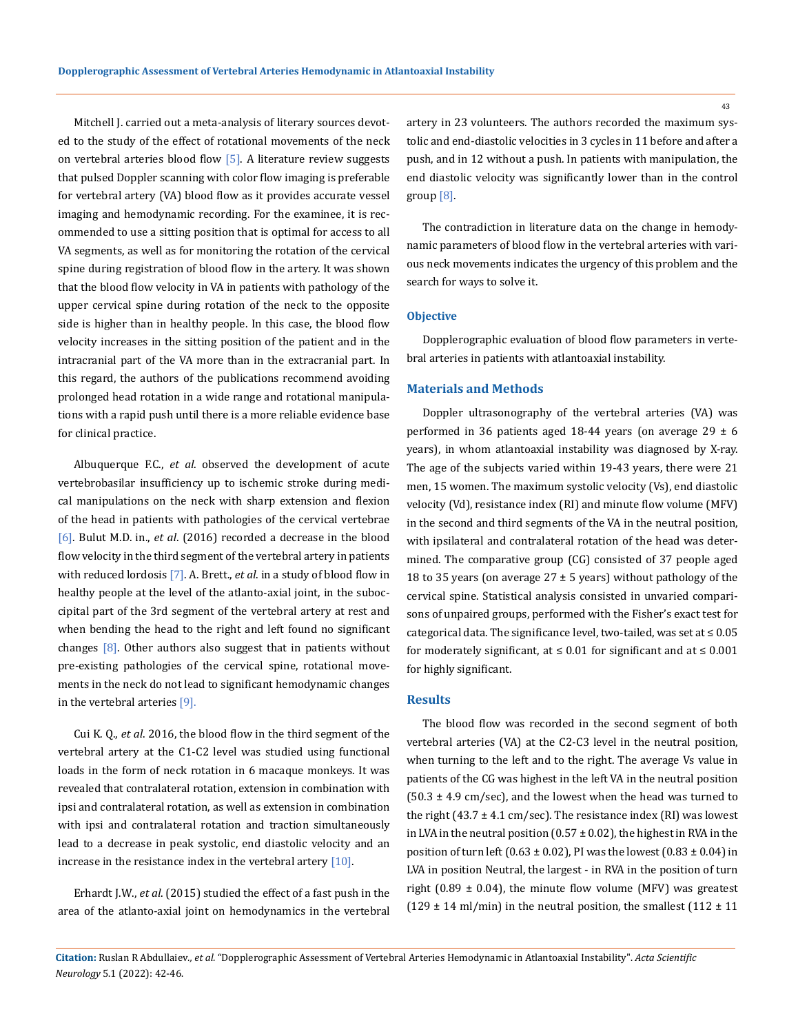Mitchell J. carried out a meta-analysis of literary sources devoted to the study of the effect of rotational movements of the neck on vertebral arteries blood flow  $[5]$ . A literature review suggests that pulsed Doppler scanning with color flow imaging is preferable for vertebral artery (VA) blood flow as it provides accurate vessel imaging and hemodynamic recording. For the examinee, it is recommended to use a sitting position that is optimal for access to all VA segments, as well as for monitoring the rotation of the cervical spine during registration of blood flow in the artery. It was shown that the blood flow velocity in VA in patients with pathology of the upper cervical spine during rotation of the neck to the opposite side is higher than in healthy people. In this case, the blood flow velocity increases in the sitting position of the patient and in the intracranial part of the VA more than in the extracranial part. In this regard, the authors of the publications recommend avoiding prolonged head rotation in a wide range and rotational manipulations with a rapid push until there is a more reliable evidence base for clinical practice.

Albuquerque F.C., *et al*. observed the development of acute vertebrobasilar insufficiency up to ischemic stroke during medical manipulations on the neck with sharp extension and flexion of the head in patients with pathologies of the cervical vertebrae [6]. Bulut M.D. in., *et al*. (2016) recorded a decrease in the blood flow velocity in the third segment of the vertebral artery in patients with reduced lordosis [7]. A. Brett., *et al*. in a study of blood flow in healthy people at the level of the atlanto-axial joint, in the suboccipital part of the 3rd segment of the vertebral artery at rest and when bending the head to the right and left found no significant changes  $[8]$ . Other authors also suggest that in patients without pre-existing pathologies of the cervical spine, rotational movements in the neck do not lead to significant hemodynamic changes in the vertebral arteries [9].

Cui K. Q., *et al*. 2016, the blood flow in the third segment of the vertebral artery at the C1-C2 level was studied using functional loads in the form of neck rotation in 6 macaque monkeys. It was revealed that contralateral rotation, extension in combination with ipsi and contralateral rotation, as well as extension in combination with ipsi and contralateral rotation and traction simultaneously lead to a decrease in peak systolic, end diastolic velocity and an increase in the resistance index in the vertebral artery [10].

Erhardt J.W., *et al*. (2015) studied the effect of a fast push in the area of the atlanto-axial joint on hemodynamics in the vertebral artery in 23 volunteers. The authors recorded the maximum systolic and end-diastolic velocities in 3 cycles in 11 before and after a push, and in 12 without a push. In patients with manipulation, the end diastolic velocity was significantly lower than in the control group [8].

The contradiction in literature data on the change in hemodynamic parameters of blood flow in the vertebral arteries with various neck movements indicates the urgency of this problem and the search for ways to solve it.

#### **Objective**

Dopplerographic evaluation of blood flow parameters in vertebral arteries in patients with atlantoaxial instability.

#### **Materials and Methods**

Doppler ultrasonography of the vertebral arteries (VA) was performed in 36 patients aged 18-44 years (on average 29  $\pm$  6 years), in whom atlantoaxial instability was diagnosed by X-ray. The age of the subjects varied within 19-43 years, there were 21 men, 15 women. The maximum systolic velocity (Vs), end diastolic velocity (Vd), resistance index (RI) and minute flow volume (MFV) in the second and third segments of the VA in the neutral position, with ipsilateral and contralateral rotation of the head was determined. The comparative group (CG) consisted of 37 people aged 18 to 35 years (on average  $27 \pm 5$  years) without pathology of the cervical spine. Statistical analysis consisted in unvaried comparisons of unpaired groups, performed with the Fisher's exact test for categorical data. The significance level, two-tailed, was set at ≤ 0.05 for moderately significant, at  $\leq 0.01$  for significant and at  $\leq 0.001$ for highly significant.

#### **Results**

The blood flow was recorded in the second segment of both vertebral arteries (VA) at the C2-C3 level in the neutral position, when turning to the left and to the right. The average Vs value in patients of the CG was highest in the left VA in the neutral position  $(50.3 \pm 4.9 \text{ cm/sec})$ , and the lowest when the head was turned to the right (43.7  $\pm$  4.1 cm/sec). The resistance index (RI) was lowest in LVA in the neutral position ( $0.57 \pm 0.02$ ), the highest in RVA in the position of turn left (0.63  $\pm$  0.02), PI was the lowest (0.83  $\pm$  0.04) in LVA in position Neutral, the largest - in RVA in the position of turn right (0.89  $\pm$  0.04), the minute flow volume (MFV) was greatest (129  $\pm$  14 ml/min) in the neutral position, the smallest (112  $\pm$  11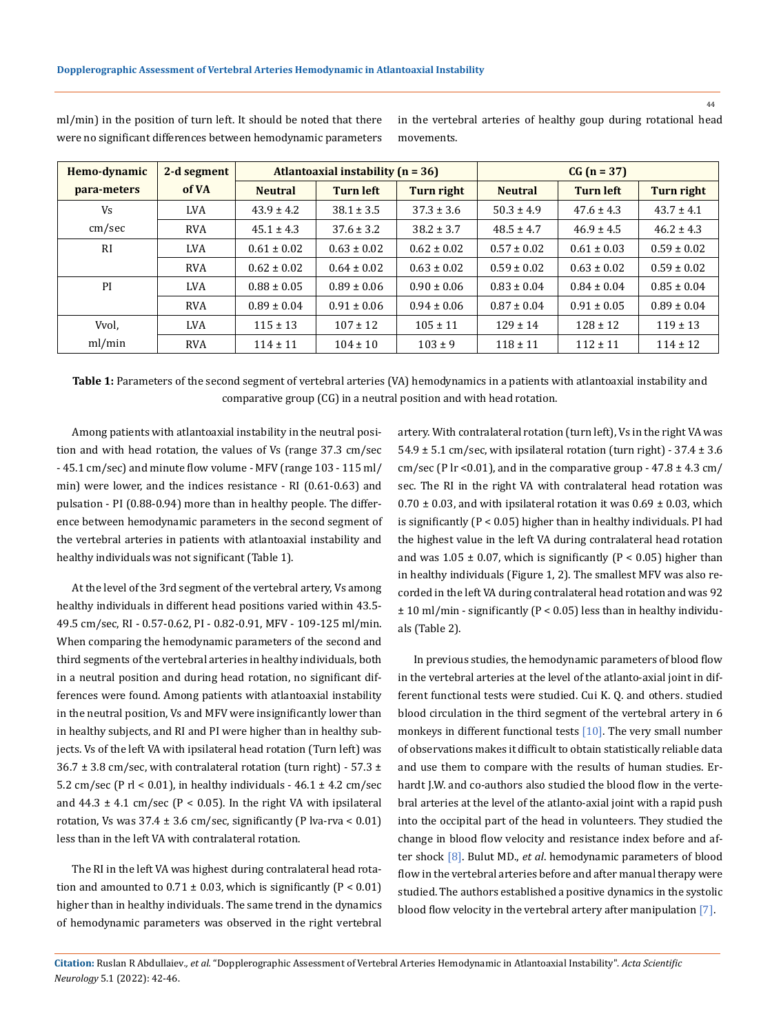| Hemo-dynamic | 2-d segment |                 | Atlantoaxial instability $(n = 36)$ |                 | $CG (n = 37)$   |                  |                 |  |
|--------------|-------------|-----------------|-------------------------------------|-----------------|-----------------|------------------|-----------------|--|
| para-meters  | of VA       | <b>Neutral</b>  | <b>Turn left</b>                    | Turn right      | <b>Neutral</b>  | <b>Turn left</b> | Turn right      |  |
| Vs           | <b>LVA</b>  | $43.9 \pm 4.2$  | $38.1 \pm 3.5$                      | $37.3 \pm 3.6$  | $50.3 \pm 4.9$  | $47.6 \pm 4.3$   | $43.7 \pm 4.1$  |  |
| cm/sec       | <b>RVA</b>  | $45.1 \pm 4.3$  | $37.6 \pm 3.2$                      | $38.2 \pm 3.7$  | $48.5 \pm 4.7$  | $46.9 \pm 4.5$   | $46.2 \pm 4.3$  |  |
| RI           | <b>LVA</b>  | $0.61 \pm 0.02$ | $0.63 \pm 0.02$                     | $0.62 \pm 0.02$ | $0.57 \pm 0.02$ | $0.61 \pm 0.03$  | $0.59 \pm 0.02$ |  |
|              | <b>RVA</b>  | $0.62 \pm 0.02$ | $0.64 \pm 0.02$                     | $0.63 \pm 0.02$ | $0.59 \pm 0.02$ | $0.63 \pm 0.02$  | $0.59 \pm 0.02$ |  |
| PI           | <b>LVA</b>  | $0.88 \pm 0.05$ | $0.89 \pm 0.06$                     | $0.90 \pm 0.06$ | $0.83 \pm 0.04$ | $0.84 \pm 0.04$  | $0.85 \pm 0.04$ |  |
|              | <b>RVA</b>  | $0.89 \pm 0.04$ | $0.91 \pm 0.06$                     | $0.94 \pm 0.06$ | $0.87 \pm 0.04$ | $0.91 \pm 0.05$  | $0.89 \pm 0.04$ |  |
| Vvol,        | <b>LVA</b>  | $115 \pm 13$    | $107 \pm 12$                        | $105 \pm 11$    | $129 \pm 14$    | $128 \pm 12$     | $119 \pm 13$    |  |
| ml/min       | <b>RVA</b>  | $114 \pm 11$    | $104 \pm 10$                        | $103 \pm 9$     | $118 \pm 11$    | $112 \pm 11$     | $114 \pm 12$    |  |

ml/min) in the position of turn left. It should be noted that there were no significant differences between hemodynamic parameters in the vertebral arteries of healthy goup during rotational head movements.

**Table 1:** Parameters of the second segment of vertebral arteries (VA) hemodynamics in a patients with atlantoaxial instability and comparative group (CG) in a neutral position and with head rotation.

Among patients with atlantoaxial instability in the neutral position and with head rotation, the values of Vs (range 37.3 cm/sec - 45.1 cm/sec) and minute flow volume - MFV (range 103 - 115 ml/ min) were lower, and the indices resistance - RI (0.61-0.63) and pulsation - PI (0.88-0.94) more than in healthy people. The difference between hemodynamic parameters in the second segment of the vertebral arteries in patients with atlantoaxial instability and healthy individuals was not significant (Table 1).

At the level of the 3rd segment of the vertebral artery, Vs among healthy individuals in different head positions varied within 43.5- 49.5 cm/sec, RI - 0.57-0.62, PI - 0.82-0.91, MFV - 109-125 ml/min. When comparing the hemodynamic parameters of the second and third segments of the vertebral arteries in healthy individuals, both in a neutral position and during head rotation, no significant differences were found. Among patients with atlantoaxial instability in the neutral position, Vs and MFV were insignificantly lower than in healthy subjects, and RI and PI were higher than in healthy subjects. Vs of the left VA with ipsilateral head rotation (Turn left) was  $36.7 \pm 3.8$  cm/sec, with contralateral rotation (turn right) - 57.3  $\pm$ 5.2 cm/sec (P  $rl$  < 0.01), in healthy individuals - 46.1  $\pm$  4.2 cm/sec and  $44.3 \pm 4.1$  cm/sec (P < 0.05). In the right VA with ipsilateral rotation, Vs was  $37.4 \pm 3.6$  cm/sec, significantly (P lva-rva < 0.01) less than in the left VA with contralateral rotation.

The RI in the left VA was highest during contralateral head rotation and amounted to  $0.71 \pm 0.03$ , which is significantly (P < 0.01) higher than in healthy individuals. The same trend in the dynamics of hemodynamic parameters was observed in the right vertebral artery. With contralateral rotation (turn left), Vs in the right VA was 54.9  $\pm$  5.1 cm/sec, with ipsilateral rotation (turn right) - 37.4  $\pm$  3.6 cm/sec (P lr <0.01), and in the comparative group -  $47.8 \pm 4.3$  cm/ sec. The RI in the right VA with contralateral head rotation was  $0.70 \pm 0.03$ , and with ipsilateral rotation it was  $0.69 \pm 0.03$ , which is significantly (P < 0.05) higher than in healthy individuals. PI had the highest value in the left VA during contralateral head rotation and was  $1.05 \pm 0.07$ , which is significantly (P < 0.05) higher than in healthy individuals (Figure 1, 2). The smallest MFV was also recorded in the left VA during contralateral head rotation and was 92  $± 10$  ml/min - significantly (P < 0.05) less than in healthy individuals (Table 2).

In previous studies, the hemodynamic parameters of blood flow in the vertebral arteries at the level of the atlanto-axial joint in different functional tests were studied. Cui K. Q. and others. studied blood circulation in the third segment of the vertebral artery in 6 monkeys in different functional tests [10]. The very small number of observations makes it difficult to obtain statistically reliable data and use them to compare with the results of human studies. Erhardt J.W. and co-authors also studied the blood flow in the vertebral arteries at the level of the atlanto-axial joint with a rapid push into the occipital part of the head in volunteers. They studied the change in blood flow velocity and resistance index before and after shock [8]. Bulut MD., *et al*. hemodynamic parameters of blood flow in the vertebral arteries before and after manual therapy were studied. The authors established a positive dynamics in the systolic blood flow velocity in the vertebral artery after manipulation [7].

**Citation:** Ruslan R Abdullaiev*., et al.* "Dopplerographic Assessment of Vertebral Arteries Hemodynamic in Atlantoaxial Instability". *Acta Scientific Neurology* 5.1 (2022): 42-46.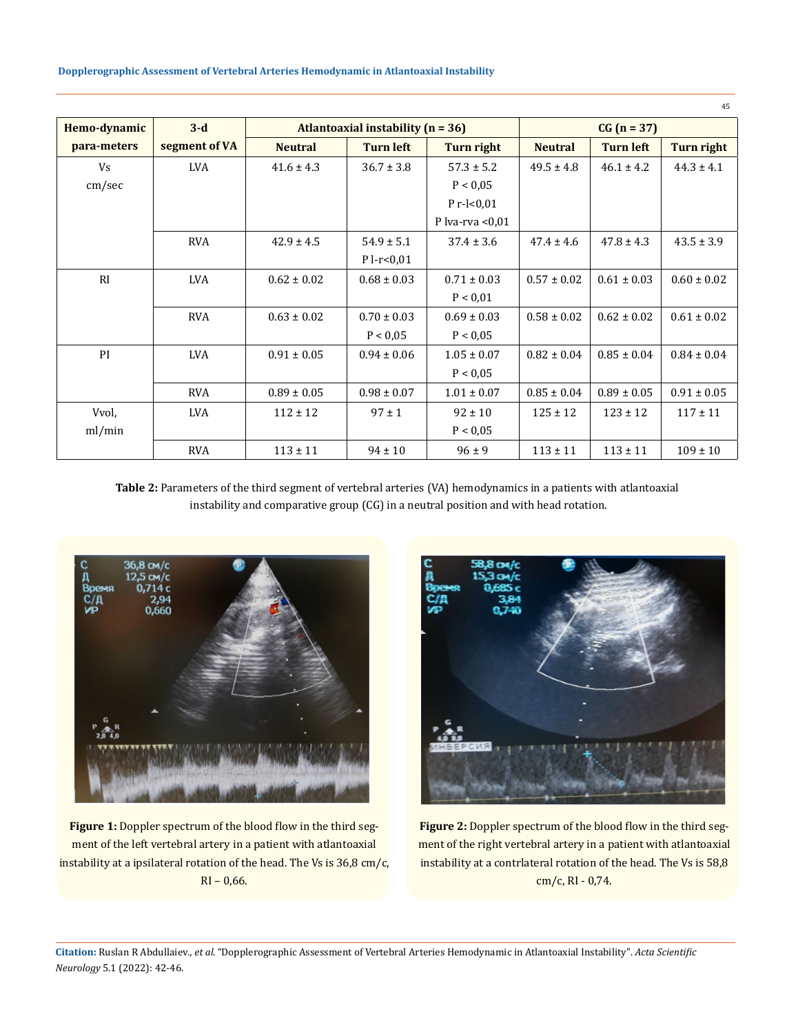| Hemo-dynamic | $3-d$         |                                       | $CG (n = 37)$    |                     |                 |                  |                 |
|--------------|---------------|---------------------------------------|------------------|---------------------|-----------------|------------------|-----------------|
|              |               | Atlantoaxial instability ( $n = 36$ ) |                  |                     |                 |                  |                 |
| para-meters  | segment of VA | <b>Neutral</b>                        | <b>Turn left</b> | Turn right          | <b>Neutral</b>  | <b>Turn left</b> | Turn right      |
| Vs           | <b>LVA</b>    | $41.6 \pm 4.3$                        | $36.7 \pm 3.8$   | $57.3 \pm 5.2$      | $49.5 \pm 4.8$  | $46.1 \pm 4.2$   | $44.3 \pm 4.1$  |
| cm/sec       |               |                                       |                  | P < 0.05            |                 |                  |                 |
|              |               |                                       |                  | P $r$ - $\leq 0.01$ |                 |                  |                 |
|              |               |                                       |                  | P lva-rva $< 0.01$  |                 |                  |                 |
|              | <b>RVA</b>    | $42.9 \pm 4.5$                        | $54.9 \pm 5.1$   | $37.4 \pm 3.6$      | $47.4 \pm 4.6$  | $47.8 \pm 4.3$   | $43.5 \pm 3.9$  |
|              |               |                                       | $P l-r < 0,01$   |                     |                 |                  |                 |
| RI           | <b>LVA</b>    | $0.62 \pm 0.02$                       | $0.68 \pm 0.03$  | $0.71 \pm 0.03$     | $0.57 \pm 0.02$ | $0.61 \pm 0.03$  | $0.60 \pm 0.02$ |
|              |               |                                       |                  | P < 0.01            |                 |                  |                 |
|              | <b>RVA</b>    | $0.63 \pm 0.02$                       | $0.70 \pm 0.03$  | $0.69 \pm 0.03$     | $0.58 \pm 0.02$ | $0.62 \pm 0.02$  | $0.61 \pm 0.02$ |
|              |               |                                       | P < 0.05         | P < 0.05            |                 |                  |                 |
| PI           | <b>LVA</b>    | $0.91 \pm 0.05$                       | $0.94 \pm 0.06$  | $1.05 \pm 0.07$     | $0.82 \pm 0.04$ | $0.85 \pm 0.04$  | $0.84 \pm 0.04$ |
|              |               |                                       |                  | P < 0.05            |                 |                  |                 |
|              | <b>RVA</b>    | $0.89 \pm 0.05$                       | $0.98 \pm 0.07$  | $1.01 \pm 0.07$     | $0.85 \pm 0.04$ | $0.89 \pm 0.05$  | $0.91 \pm 0.05$ |
| Vvol,        | <b>LVA</b>    | $112 \pm 12$                          | $97 \pm 1$       | $92 \pm 10$         | $125 \pm 12$    | $123 \pm 12$     | $117 \pm 11$    |
| ml/min       |               |                                       |                  | P < 0.05            |                 |                  |                 |
|              | <b>RVA</b>    | $113 \pm 11$                          | $94 \pm 10$      | $96 \pm 9$          | $113 \pm 11$    | $113 \pm 11$     | $109 \pm 10$    |

**Table 2:** Parameters of the third segment of vertebral arteries (VA) hemodynamics in a patients with atlantoaxial instability and comparative group (CG) in a neutral position and with head rotation.



Figure 1: Doppler spectrum of the blood flow in the third segment of the left vertebral artery in a patient with atlantoaxial instability at a ipsilateral rotation of the head. The Vs is  $36,8$  cm/c, RI – 0,66.



**Figure 2:** Doppler spectrum of the blood flow in the third segment of the right vertebral artery in a patient with atlantoaxial instability at a contrlateral rotation of the head. The Vs is 58,8 cm/c, RI - 0,74.